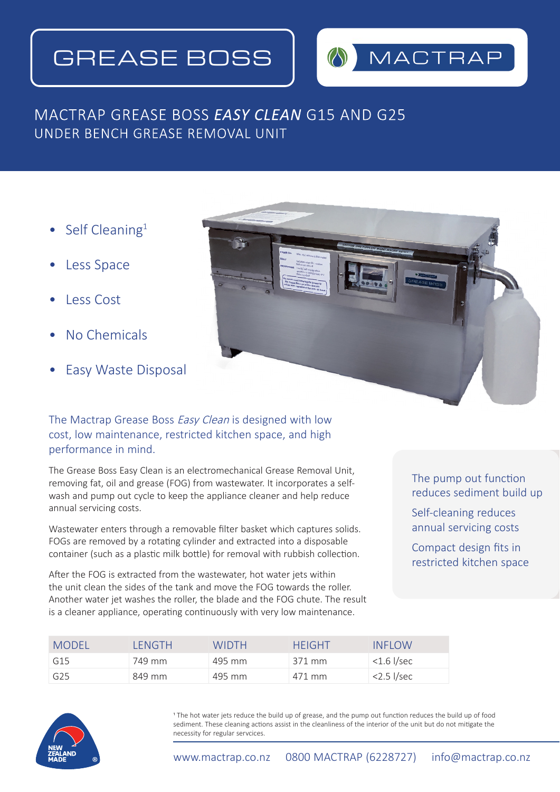# GREASE BOSS



# MACTRAP GREASE BOSS *EASY CLEAN* G15 AND G25 UNDER BENCH GREASE REMOVAL UNIT

- Self Cleaning<sup>1</sup>
- Less Space
- Less Cost
- No Chemicals
- Easy Waste Disposal



## The Mactrap Grease Boss Easy Clean is designed with low cost, low maintenance, restricted kitchen space, and high performance in mind.

The Grease Boss Easy Clean is an electromechanical Grease Removal Unit, removing fat, oil and grease (FOG) from wastewater. It incorporates a selfwash and pump out cycle to keep the appliance cleaner and help reduce annual servicing costs.

Wastewater enters through a removable filter basket which captures solids. FOGs are removed by a rotating cylinder and extracted into a disposable container (such as a plastic milk bottle) for removal with rubbish collection.

After the FOG is extracted from the wastewater, hot water jets within the unit clean the sides of the tank and move the FOG towards the roller. Another water jet washes the roller, the blade and the FOG chute. The result is a cleaner appliance, operating continuously with very low maintenance.

### The pump out function reduces sediment build up

Self-cleaning reduces annual servicing costs

Compact design fits in restricted kitchen space

| <b>MODEL</b> | I FNGTH. | WIDTH  | <b>HEIGHT</b> | <b>INFLOW</b> |
|--------------|----------|--------|---------------|---------------|
| G15          | 749 mm   | 495 mm | 371 mm        | $<$ 1.6 l/sec |
| G25          | 849 mm   | 495 mm | 471 mm        | $<$ 2.5 l/sec |

1 The hot water jets reduce the build up of grease, and the pump out function reduces the build up of food sediment. These cleaning actions assist in the cleanliness of the interior of the unit but do not mitigate the necessity for regular servcices.